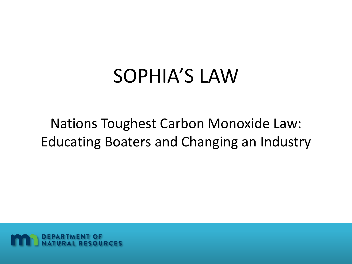#### SOPHIA'S LAW

Nations Toughest Carbon Monoxide Law: Educating Boaters and Changing an Industry

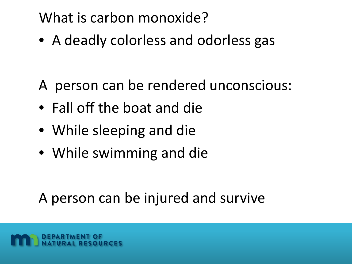#### What is carbon monoxide?

• A deadly colorless and odorless gas

- A person can be rendered unconscious:
- Fall off the boat and die
- While sleeping and die
- While swimming and die

A person can be injured and survive

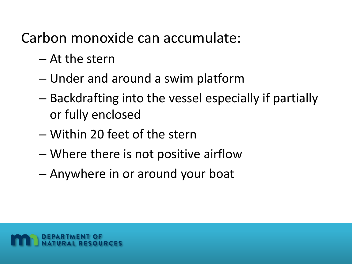Carbon monoxide can accumulate:

- At the stern
- Under and around a swim platform
- Backdrafting into the vessel especially if partially or fully enclosed
- Within 20 feet of the stern
- Where there is not positive airflow
- Anywhere in or around your boat

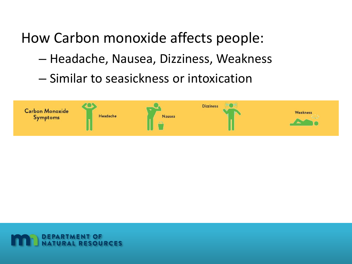#### How Carbon monoxide affects people:

- Headache, Nausea, Dizziness, Weakness
- Similar to seasickness or intoxication



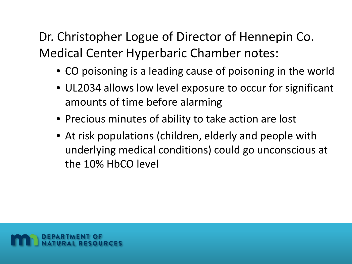Dr. Christopher Logue of Director of Hennepin Co. Medical Center Hyperbaric Chamber notes:

- CO poisoning is a leading cause of poisoning in the world
- UL2034 allows low level exposure to occur for significant amounts of time before alarming
- Precious minutes of ability to take action are lost
- At risk populations (children, elderly and people with underlying medical conditions) could go unconscious at the 10% HbCO level

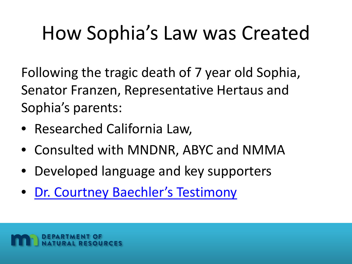## How Sophia's Law was Created

Following the tragic death of 7 year old Sophia, Senator Franzen, Representative Hertaus and Sophia's parents:

- Researched California Law,
- Consulted with MNDNR, ABYC and NMMA
- Developed language and key supporters
- [Dr. Courtney Baechler's](https://www.youtube.com/watch?v=hZL_a35otdk) Testimony

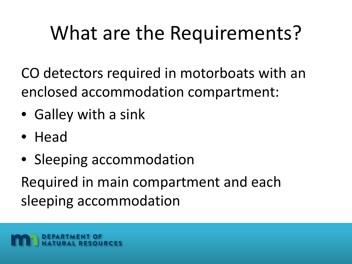CO detectors required in motorboats with an enclosed accommodation compartment:

- Galley with a sink
- Head
- Sleeping accommodation

Required in main compartment and each sleeping accommodation

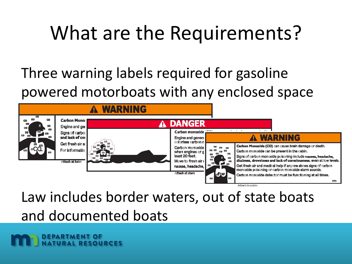#### Three warning labels required for gasoline powered motorboats with any enclosed space



Attach in cabin

Law includes border waters, out of state boats and documented boats

**DEPARTMENT OF NATURAL RESOURCES**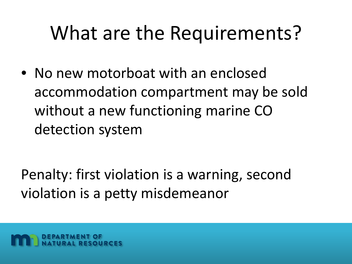• No new motorboat with an enclosed accommodation compartment may be sold without a new functioning marine CO detection system

Penalty: first violation is a warning, second violation is a petty misdemeanor

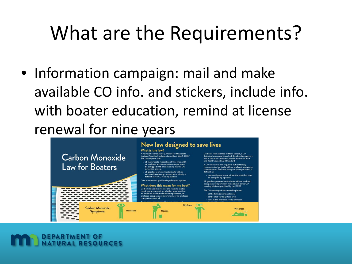• Information campaign: mail and make available CO info. and stickers, include info. with boater education, remind at license renewal for nine years



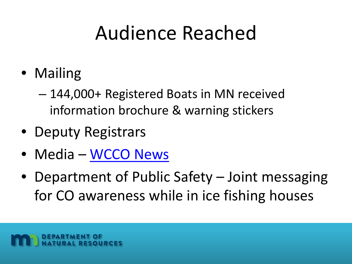#### Audience Reached

- Mailing
	- 144,000+ Registered Boats in MN received information brochure & warning stickers
- Deputy Registrars
- Media [WCCO News](http://kstp.com/news/sophias-law-requiring-marine-carbon-monoxide-detectors-takes-effect-may-1-honors-sophia-baechler/4469616/?cat=1)
- Department of Public Safety Joint messaging for CO awareness while in ice fishing houses

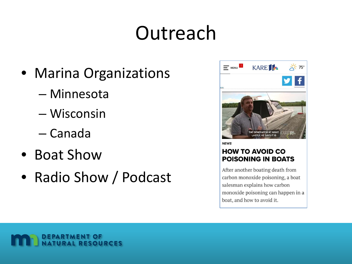### Outreach

- Marina Organizations
	- Minnesota
	- Wisconsin
	- Canada
- Boat Show
- Radio Show / Podcast



**HOW TO AVOID CO POISONING IN BOATS** 

After another boating death from carbon monoxide poisoning, a boat salesman explains how carbon monoxide poisoning can happen in a boat, and how to avoid it.

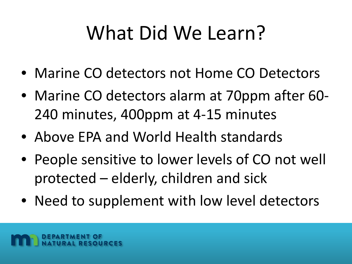### What Did We Learn?

- Marine CO detectors not Home CO Detectors
- Marine CO detectors alarm at 70ppm after 60- 240 minutes, 400ppm at 4-15 minutes
- Above EPA and World Health standards
- People sensitive to lower levels of CO not well protected – elderly, children and sick
- Need to supplement with low level detectors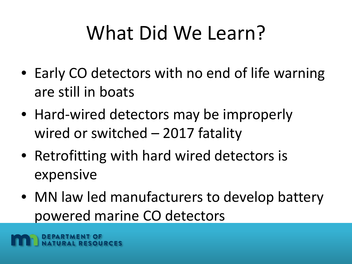## What Did We Learn?

- Early CO detectors with no end of life warning are still in boats
- Hard-wired detectors may be improperly wired or switched – 2017 fatality
- Retrofitting with hard wired detectors is expensive
- MN law led manufacturers to develop battery powered marine CO detectors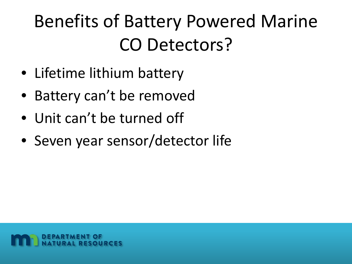#### Benefits of Battery Powered Marine CO Detectors?

- Lifetime lithium battery
- Battery can't be removed
- Unit can't be turned off
- Seven year sensor/detector life

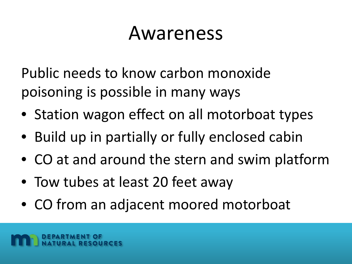#### Awareness

Public needs to know carbon monoxide poisoning is possible in many ways

- Station wagon effect on all motorboat types
- Build up in partially or fully enclosed cabin
- CO at and around the stern and swim platform
- Tow tubes at least 20 feet away
- CO from an adjacent moored motorboat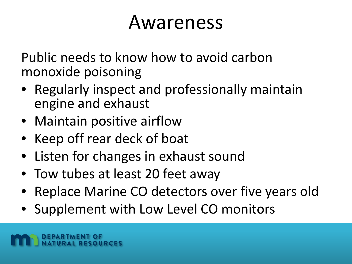#### Awareness

Public needs to know how to avoid carbon monoxide poisoning

- Regularly inspect and professionally maintain engine and exhaust
- Maintain positive airflow
- Keep off rear deck of boat
- Listen for changes in exhaust sound
- Tow tubes at least 20 feet away
- Replace Marine CO detectors over five years old
- Supplement with Low Level CO monitors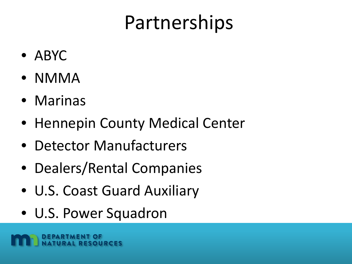#### Partnerships

- ABYC
- NMMA
- Marinas
- Hennepin County Medical Center
- Detector Manufacturers
- Dealers/Rental Companies
- U.S. Coast Guard Auxiliary
- U.S. Power Squadron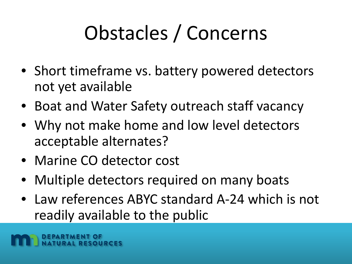# Obstacles / Concerns

- Short timeframe vs. battery powered detectors not yet available
- Boat and Water Safety outreach staff vacancy
- Why not make home and low level detectors acceptable alternates?
- Marine CO detector cost
- Multiple detectors required on many boats
- Law references ABYC standard A-24 which is not readily available to the public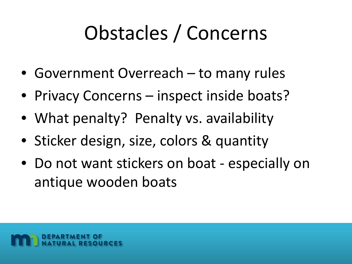## Obstacles / Concerns

- Government Overreach to many rules
- Privacy Concerns inspect inside boats?
- What penalty? Penalty vs. availability
- Sticker design, size, colors & quantity
- Do not want stickers on boat especially on antique wooden boats

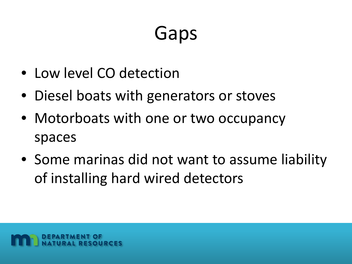## Gaps

- Low level CO detection
- Diesel boats with generators or stoves
- Motorboats with one or two occupancy spaces
- Some marinas did not want to assume liability of installing hard wired detectors